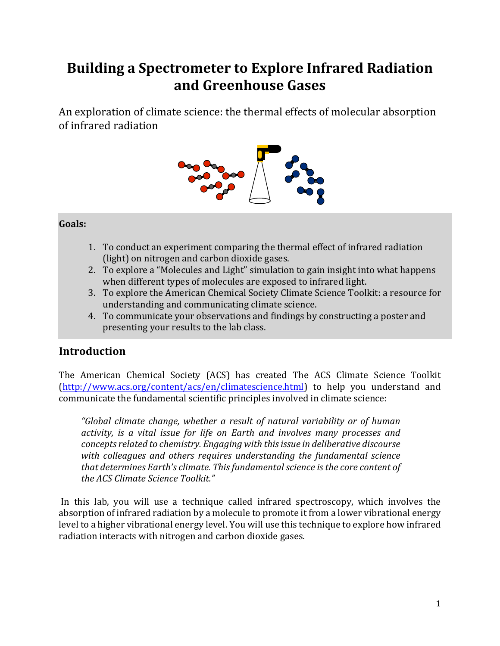## **Building a Spectrometer to Explore Infrared Radiation and Greenhouse Gases**

An exploration of climate science: the thermal effects of molecular absorption of infrared radiation



### **Goals:**

- 1. To conduct an experiment comparing the thermal effect of infrared radiation (light) on nitrogen and carbon dioxide gases.
- 2. To explore a "Molecules and Light" simulation to gain insight into what happens when different types of molecules are exposed to infrared light.
- 3. To explore the American Chemical Society Climate Science Toolkit: a resource for understanding and communicating climate science.
- 4. To communicate your observations and findings by constructing a poster and presenting your results to the lab class.

### **Introduction**

The American Chemical Society (ACS) has created The ACS Climate Science Toolkit (http://www.acs.org/content/acs/en/climatescience.html) to help you understand and communicate the fundamental scientific principles involved in climate science:

*"Global climate change, whether a result of natural variability or of human activity, is a vital issue for life on Earth and involves many processes and concepts related to chemistry. Engaging with this issue in deliberative discourse* with colleagues and others requires understanding the fundamental science that determines Earth's climate. This fundamental science is the core content of *the ACS Climate Science Toolkit."* 

In this lab, you will use a technique called infrared spectroscopy, which involves the absorption of infrared radiation by a molecule to promote it from a lower vibrational energy level to a higher vibrational energy level. You will use this technique to explore how infrared radiation interacts with nitrogen and carbon dioxide gases.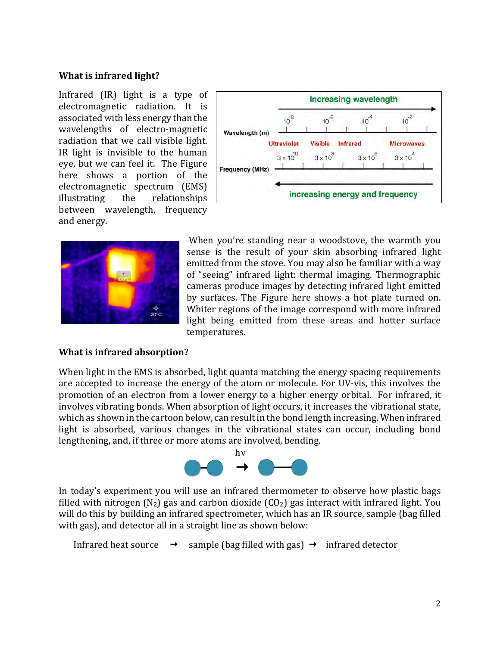#### **What is infrared light?**

Infrared  $(IR)$  light is a type of electromagnetic radiation. It is associated with less energy than the wavelengths of electro-magnetic radiation that we call visible light. IR light is invisible to the human eye, but we can feel it. The Figure here shows a portion of the electromagnetic spectrum (EMS) illustrating the relationships between wavelength, frequency and energy.





When you're standing near a woodstove, the warmth you sense is the result of your skin absorbing infrared light emitted from the stove. You may also be familiar with a way of "seeing" infrared light: thermal imaging. Thermographic cameras produce images by detecting infrared light emitted by surfaces. The Figure here shows a hot plate turned on. Whiter regions of the image correspond with more infrared light being emitted from these areas and hotter surface temperatures. 

#### **What is infrared absorption?**

When light in the EMS is absorbed, light quanta matching the energy spacing requirements are accepted to increase the energy of the atom or molecule. For UV-vis, this involves the promotion of an electron from a lower energy to a higher energy orbital. For infrared, it involves vibrating bonds. When absorption of light occurs, it increases the vibrational state, which as shown in the cartoon below, can result in the bond length increasing. When infrared light is absorbed, various changes in the vibrational states can occur, including bond lengthening, and, if three or more atoms are involved, bending.



In today's experiment you will use an infrared thermometer to observe how plastic bags filled with nitrogen  $(N_2)$  gas and carbon dioxide  $(CO_2)$  gas interact with infrared light. You will do this by building an infrared spectrometer, which has an IR source, sample (bag filled with gas), and detector all in a straight line as shown below:

Infrared heat source  $\rightarrow$  sample (bag filled with gas)  $\rightarrow$  infrared detector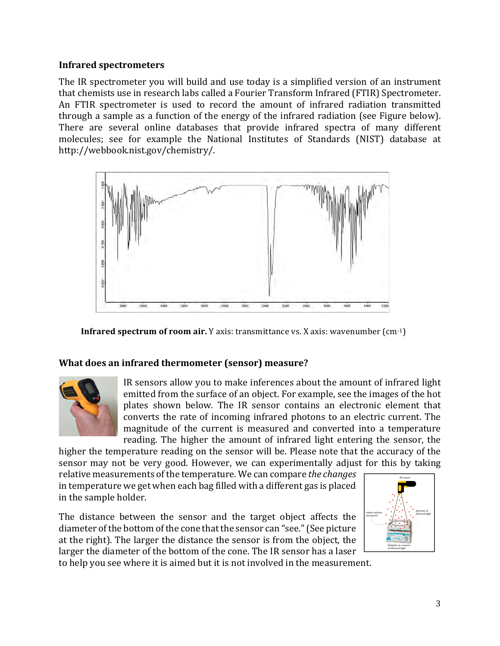#### **Infrared spectrometers**

The IR spectrometer you will build and use today is a simplified version of an instrument that chemists use in research labs called a Fourier Transform Infrared (FTIR) Spectrometer. An FTIR spectrometer is used to record the amount of infrared radiation transmitted through a sample as a function of the energy of the infrared radiation (see Figure below). There are several online databases that provide infrared spectra of many different molecules; see for example the National Institutes of Standards (NIST) database at http://webbook.nist.gov/chemistry/. 



**Infrared spectrum of room air.** Y axis: transmittance vs. X axis: wavenumber  $(cm^{-1})$ 

#### What does an infrared thermometer (sensor) measure?



IR sensors allow you to make inferences about the amount of infrared light emitted from the surface of an object. For example, see the images of the hot plates shown below. The IR sensor contains an electronic element that converts the rate of incoming infrared photons to an electric current. The magnitude of the current is measured and converted into a temperature reading. The higher the amount of infrared light entering the sensor, the

higher the temperature reading on the sensor will be. Please note that the accuracy of the sensor may not be very good. However, we can experimentally adjust for this by taking relative measurements of the temperature. We can compare *the changes* in temperature we get when each bag filled with a different gas is placed in the sample holder. IR sensor

The distance between the sensor and the target object affects the diameter of the bottom of the cone that the sensor can "see." (See picture at the right). The larger the distance the sensor is from the object, the larger the diameter of the bottom of the cone. The IR sensor has a laser



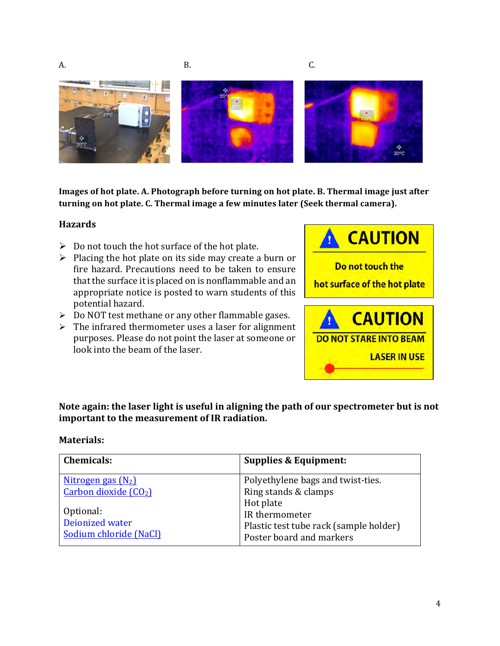



**Images of hot plate. A. Photograph before turning on hot plate. B. Thermal image just after** turning on hot plate. C. Thermal image a few minutes later (Seek thermal camera).

#### **Hazards**

- $\triangleright$  Do not touch the hot surface of the hot plate.
- $\triangleright$  Placing the hot plate on its side may create a burn or fire hazard. Precautions need to be taken to ensure that the surface it is placed on is nonflammable and an appropriate notice is posted to warn students of this potential hazard.
- $\triangleright$  Do NOT test methane or any other flammable gases.
- $\triangleright$  The infrared thermometer uses a laser for alignment purposes. Please do not point the laser at someone or look into the beam of the laser.



Note again: the laser light is useful in aligning the path of our spectrometer but is not important to the measurement of IR radiation.

#### **Materials:**

| <b>Chemicals:</b>                 | <b>Supplies &amp; Equipment:</b>       |
|-----------------------------------|----------------------------------------|
| Nitrogen gas $(N_2)$              | Polyethylene bags and twist-ties.      |
| Carbon dioxide (CO <sub>2</sub> ) | Ring stands & clamps                   |
|                                   | Hot plate                              |
| Optional:                         | IR thermometer                         |
| Deionized water                   | Plastic test tube rack (sample holder) |
| Sodium chloride (NaCl)            | Poster board and markers               |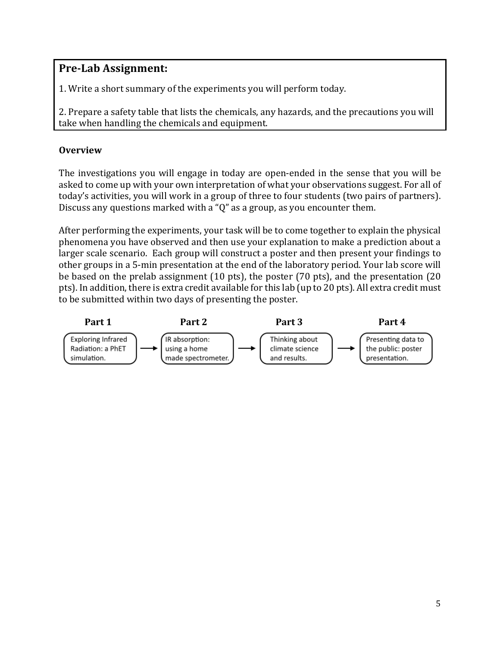### **Pre-Lab Assignment:**

1. Write a short summary of the experiments you will perform today.

2. Prepare a safety table that lists the chemicals, any hazards, and the precautions you will take when handling the chemicals and equipment.

### **Overview**

The investigations you will engage in today are open-ended in the sense that you will be asked to come up with your own interpretation of what your observations suggest. For all of today's activities, you will work in a group of three to four students (two pairs of partners). Discuss any questions marked with a "Q" as a group, as you encounter them.

After performing the experiments, your task will be to come together to explain the physical phenomena you have observed and then use your explanation to make a prediction about a larger scale scenario. Each group will construct a poster and then present your findings to other groups in a 5-min presentation at the end of the laboratory period. Your lab score will be based on the prelab assignment  $(10 \text{ pts})$ , the poster  $(70 \text{ pts})$ , and the presentation  $(20 \text{ ft})$ pts). In addition, there is extra credit available for this lab (up to 20 pts). All extra credit must to be submitted within two days of presenting the poster.

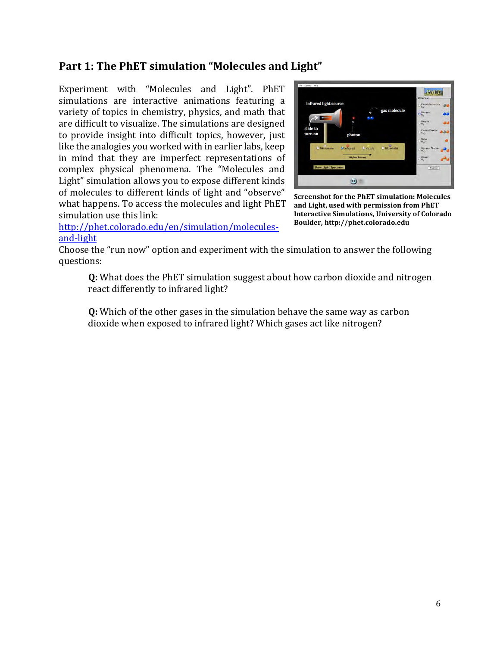### Part 1: The PhET simulation "Molecules and Light"

Experiment with "Molecules and Light". PhET simulations are interactive animations featuring a variety of topics in chemistry, physics, and math that are difficult to visualize. The simulations are designed to provide insight into difficult topics, however, just like the analogies you worked with in earlier labs, keep in mind that they are imperfect representations of complex physical phenomena. The "Molecules and Light" simulation allows you to expose different kinds of molecules to different kinds of light and "observe" what happens. To access the molecules and light PhET simulation use this link:

http://phet.colorado.edu/en/simulation/moleculesand-light



**Screenshot for the PhET simulation: Molecules** and Light, used with permission from PhET **Interactive Simulations, University of Colorado Boulder, http://phet.colorado.edu**

Choose the "run now" option and experiment with the simulation to answer the following questions:

**Q:** What does the PhET simulation suggest about how carbon dioxide and nitrogen react differently to infrared light?

**Q:** Which of the other gases in the simulation behave the same way as carbon dioxide when exposed to infrared light? Which gases act like nitrogen?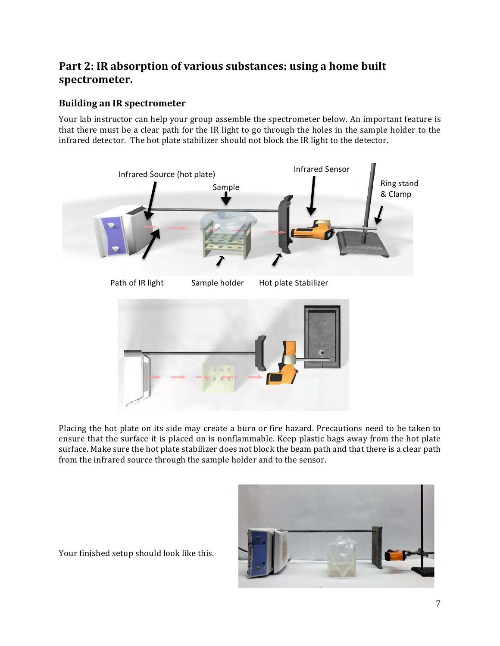### Part 2: IR absorption of various substances: using a home built **spectrometer.**

### **Building an IR spectrometer**

Your lab instructor can help your group assemble the spectrometer below. An important feature is that there must be a clear path for the IR light to go through the holes in the sample holder to the infrared detector. The hot plate stabilizer should not block the IR light to the detector.



Placing the hot plate on its side may create a burn or fire hazard. Precautions need to be taken to ensure that the surface it is placed on is nonflammable. Keep plastic bags away from the hot plate surface. Make sure the hot plate stabilizer does not block the beam path and that there is a clear path from the infrared source through the sample holder and to the sensor.



Your finished setup should look like this.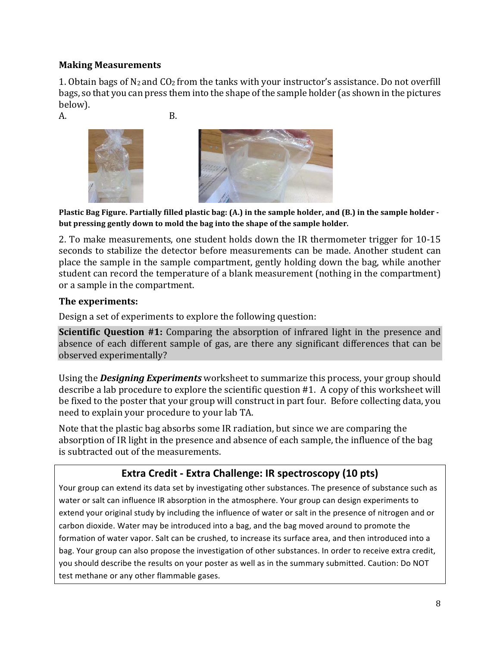### **Making Measurements**

1. Obtain bags of  $N_2$  and  $CO_2$  from the tanks with your instructor's assistance. Do not overfill bags, so that you can press them into the shape of the sample holder (as shown in the pictures below).

 $A.$  B.





**Plastic Bag Figure. Partially filled plastic bag: (A.) in the sample holder, and (B.) in the sample holder** but pressing gently down to mold the bag into the shape of the sample holder.

2. To make measurements, one student holds down the IR thermometer trigger for 10-15 seconds to stabilize the detector before measurements can be made. Another student can place the sample in the sample compartment, gently holding down the bag, while another student can record the temperature of a blank measurement (nothing in the compartment) or a sample in the compartment.

#### **The experiments:**

Design a set of experiments to explore the following question:

**Scientific Question #1:** Comparing the absorption of infrared light in the presence and absence of each different sample of gas, are there any significant differences that can be observed experimentally?

Using the **Designing Experiments** worksheet to summarize this process, your group should describe a lab procedure to explore the scientific question  $#1$ . A copy of this worksheet will be fixed to the poster that your group will construct in part four. Before collecting data, you need to explain your procedure to your lab TA.

Note that the plastic bag absorbs some IR radiation, but since we are comparing the absorption of IR light in the presence and absence of each sample, the influence of the bag is subtracted out of the measurements.

### **Extra Credit - Extra Challenge: IR spectroscopy (10 pts)**

Your group can extend its data set by investigating other substances. The presence of substance such as water or salt can influence IR absorption in the atmosphere. Your group can design experiments to extend your original study by including the influence of water or salt in the presence of nitrogen and or carbon dioxide. Water may be introduced into a bag, and the bag moved around to promote the formation of water vapor. Salt can be crushed, to increase its surface area, and then introduced into a bag. Your group can also propose the investigation of other substances. In order to receive extra credit, you should describe the results on your poster as well as in the summary submitted. Caution: Do NOT test methane or any other flammable gases.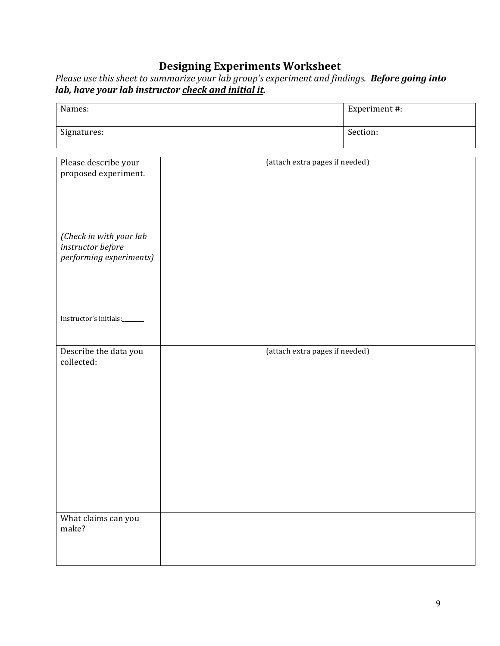### **Designing Experiments Worksheet**

Please use this sheet to summarize your lab group's experiment and findings. **Before going into** *lab, have your lab instructor <u>check and initial it</u>.* 

| Names:      | Experiment #: |
|-------------|---------------|
| Signatures: | Section:      |

| Please describe your    | (attach extra pages if needed) |
|-------------------------|--------------------------------|
| proposed experiment.    |                                |
|                         |                                |
|                         |                                |
|                         |                                |
|                         |                                |
|                         |                                |
|                         |                                |
|                         |                                |
|                         |                                |
|                         |                                |
| (Check in with your lab |                                |
| instructor before       |                                |
|                         |                                |
| performing experiments) |                                |
|                         |                                |
|                         |                                |
|                         |                                |
|                         |                                |
|                         |                                |
|                         |                                |
|                         |                                |
|                         |                                |
| Instructor's initials:  |                                |
|                         |                                |
|                         |                                |
|                         |                                |
|                         |                                |
| Describe the data you   | (attach extra pages if needed) |
| collected:              |                                |
|                         |                                |
|                         |                                |
|                         |                                |
|                         |                                |
|                         |                                |
|                         |                                |
|                         |                                |
|                         |                                |
|                         |                                |
|                         |                                |
|                         |                                |
|                         |                                |
|                         |                                |
|                         |                                |
|                         |                                |
|                         |                                |
|                         |                                |
|                         |                                |
|                         |                                |
|                         |                                |
|                         |                                |
|                         |                                |
|                         |                                |
|                         |                                |
| What claims can you     |                                |
| make?                   |                                |
|                         |                                |
|                         |                                |
|                         |                                |
|                         |                                |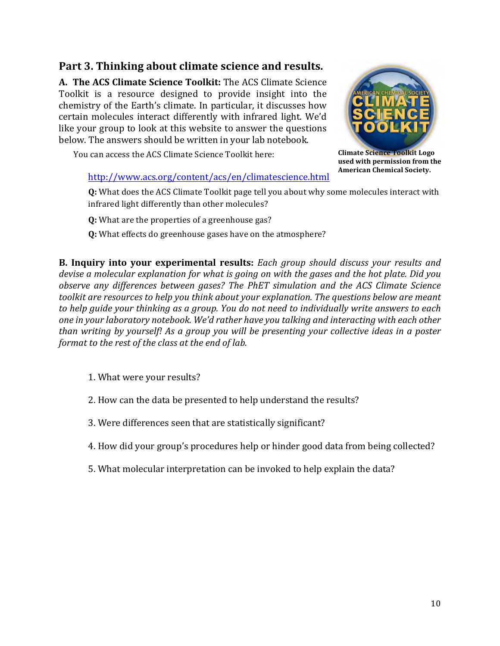### Part 3. Thinking about climate science and results.

**A. The ACS Climate Science Toolkit:** The ACS Climate Science Toolkit is a resource designed to provide insight into the chemistry of the Earth's climate. In particular, it discusses how certain molecules interact differently with infrared light. We'd like your group to look at this website to answer the questions below. The answers should be written in your lab notebook.





**Climate Science Toolkit Logo** used with permission from the **American Chemical Society.**

# http://www.acs.org/content/acs/en/climatescience.html

Q: What does the ACS Climate Toolkit page tell you about why some molecules interact with infrared light differently than other molecules?

**Q:** What are the properties of a greenhouse gas?

**Q:** What effects do greenhouse gases have on the atmosphere?

**B.** Inquiry into your experimental results: Each group should discuss your results and *devise a molecular explanation for what is going on with the gases and the hot plate. Did you observe any differences between gases? The PhET simulation and the ACS Climate Science* toolkit are resources to help you think about your explanation. The questions below are meant to help guide your thinking as a group. You do not need to individually write answers to each one in your laboratory notebook. We'd rather have you talking and interacting with each other *than writing by yourself! As a group you will be presenting your collective ideas in a poster format to the rest of the class at the end of lab.* 

- 1. What were your results?
- 2. How can the data be presented to help understand the results?
- 3. Were differences seen that are statistically significant?
- 4. How did your group's procedures help or hinder good data from being collected?
- 5. What molecular interpretation can be invoked to help explain the data?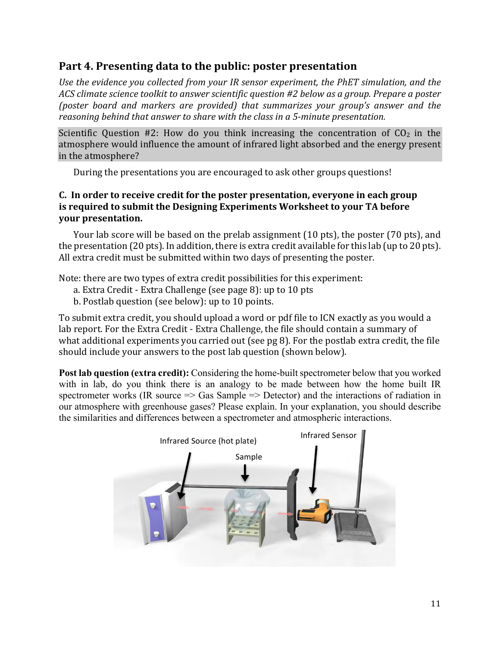### Part 4. Presenting data to the public: poster presentation

Use the evidence you collected from your IR sensor experiment, the PhET simulation, and the *ACS* climate science toolkit to answer scientific question #2 below as a group. Prepare a poster *(poster board and markers are provided)* that summarizes your group's answer and the *reasoning behind that answer to share with the class in a 5-minute presentation.* 

Scientific Question  $#2$ : How do you think increasing the concentration of  $CO<sub>2</sub>$  in the atmosphere would influence the amount of infrared light absorbed and the energy present in the atmosphere?

During the presentations you are encouraged to ask other groups questions!

#### **C.** In order to receive credit for the poster presentation, everyone in each group **is required to submit the Designing Experiments Worksheet to your TA before your** presentation.

Your lab score will be based on the prelab assignment  $(10 \text{ pts})$ , the poster  $(70 \text{ pts})$ , and the presentation  $(20 \text{ pts})$ . In addition, there is extra credit available for this lab (up to 20 pts). All extra credit must be submitted within two days of presenting the poster.

Note: there are two types of extra credit possibilities for this experiment:

- a. Extra Credit Extra Challenge (see page 8): up to 10 pts
- b. Postlab question (see below): up to 10 points.

To submit extra credit, you should upload a word or pdf file to ICN exactly as you would a lab report. For the Extra Credit - Extra Challenge, the file should contain a summary of what additional experiments you carried out (see  $pg 8$ ). For the postlab extra credit, the file should include your answers to the post lab question (shown below).

**Post lab question (extra credit):** Considering the home-built spectrometer below that you worked with in lab, do you think there is an analogy to be made between how the home built IR spectrometer works (IR source  $\Rightarrow$  Gas Sample  $\Rightarrow$  Detector) and the interactions of radiation in our atmosphere with greenhouse gases? Please explain. In your explanation, you should describe the similarities and differences between a spectrometer and atmospheric interactions.